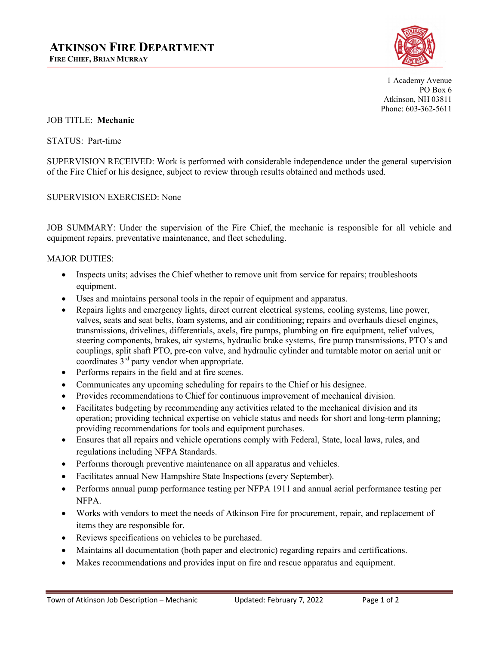

1 Academy Avenue PO Box 6 Atkinson, NH 03811 Phone: 603-362-5611

JOB TITLE: **Mechanic**

STATUS: Part-time

SUPERVISION RECEIVED: Work is performed with considerable independence under the general supervision of the Fire Chief or his designee, subject to review through results obtained and methods used.

#### SUPERVISION EXERCISED: None

JOB SUMMARY: Under the supervision of the Fire Chief, the mechanic is responsible for all vehicle and equipment repairs, preventative maintenance, and fleet scheduling.

#### MAJOR DUTIES:

- Inspects units; advises the Chief whether to remove unit from service for repairs; troubleshoots equipment.
- Uses and maintains personal tools in the repair of equipment and apparatus.
- Repairs lights and emergency lights, direct current electrical systems, cooling systems, line power, valves, seats and seat belts, foam systems, and air conditioning; repairs and overhauls diesel engines, transmissions, drivelines, differentials, axels, fire pumps, plumbing on fire equipment, relief valves, steering components, brakes, air systems, hydraulic brake systems, fire pump transmissions, PTO's and couplings, split shaft PTO, pre-con valve, and hydraulic cylinder and turntable motor on aerial unit or coordinates 3rd party vendor when appropriate.
- Performs repairs in the field and at fire scenes.
- Communicates any upcoming scheduling for repairs to the Chief or his designee.
- Provides recommendations to Chief for continuous improvement of mechanical division.
- Facilitates budgeting by recommending any activities related to the mechanical division and its operation; providing technical expertise on vehicle status and needs for short and long-term planning; providing recommendations for tools and equipment purchases.
- Ensures that all repairs and vehicle operations comply with Federal, State, local laws, rules, and regulations including NFPA Standards.
- Performs thorough preventive maintenance on all apparatus and vehicles.
- Facilitates annual New Hampshire State Inspections (every September).
- Performs annual pump performance testing per NFPA 1911 and annual aerial performance testing per NFPA.
- Works with vendors to meet the needs of Atkinson Fire for procurement, repair, and replacement of items they are responsible for.
- Reviews specifications on vehicles to be purchased.
- Maintains all documentation (both paper and electronic) regarding repairs and certifications.
- Makes recommendations and provides input on fire and rescue apparatus and equipment.